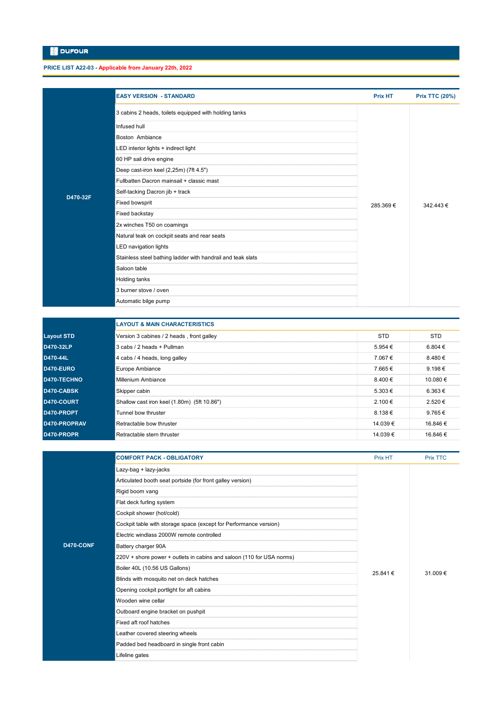**PRICE LIST A22-03 - Applicable from January 22th, 2022**

|                   | <b>EASY VERSION - STANDARD</b>                                        | <b>Prix HT</b> | <b>Prix TTC (20%)</b> |
|-------------------|-----------------------------------------------------------------------|----------------|-----------------------|
|                   | 3 cabins 2 heads, toilets equipped with holding tanks                 |                |                       |
|                   | Infused hull                                                          |                |                       |
|                   | Boston Ambiance                                                       |                |                       |
|                   | LED interior lights + indirect light                                  |                |                       |
|                   | 60 HP sail drive engine                                               |                |                       |
|                   | Deep cast-iron keel (2,25m) (7ft 4.5")                                |                |                       |
|                   | Fullbatten Dacron mainsail + classic mast                             |                |                       |
|                   | Self-tacking Dacron jib + track                                       |                |                       |
| D470-32F          | Fixed bowsprit                                                        | 285.369€       | 342.443€              |
|                   | Fixed backstay                                                        |                |                       |
|                   | 2x winches T50 on coamings                                            |                |                       |
|                   | Natural teak on cockpit seats and rear seats                          |                |                       |
|                   | LED navigation lights                                                 |                |                       |
|                   | Stainless steel bathing ladder with handrail and teak slats           |                |                       |
|                   | Saloon table                                                          |                |                       |
|                   | Holding tanks                                                         |                |                       |
|                   | 3 burner stove / oven                                                 |                |                       |
|                   | Automatic bilge pump                                                  |                |                       |
|                   |                                                                       |                |                       |
|                   | <b>LAYOUT &amp; MAIN CHARACTERISTICS</b>                              |                |                       |
| <b>Layout STD</b> | Version 3 cabines / 2 heads , front galley                            | <b>STD</b>     | <b>STD</b>            |
| D470-32LP         | 3 cabs / 2 heads + Pullman                                            | 5.954 €        | 6.804 €               |
| D470-44L          | 4 cabs / 4 heads, long galley                                         | 7.067€         | 8.480 €               |
| <b>D470-EURO</b>  | Europe Ambiance                                                       | 7.665€         | 9.198€                |
| D470-TECHNO       | Millenium Ambiance                                                    | 8.400 €        | 10.080 €              |
| D470-CABSK        | Skipper cabin                                                         | 5.303€         | 6.363€                |
| D470-COURT        | Shallow cast iron keel (1.80m) (5ft 10.86")                           | 2.100 €        | 2.520 €               |
| D470-PROPT        | Tunnel bow thruster                                                   | 8.138€         | 9.765€                |
| D470-PROPRAV      | Retractable bow thruster                                              | 14.039€        | 16.846€               |
| D470-PROPR        | Retractable stern thruster                                            | 14.039 €       | 16.846 €              |
|                   |                                                                       |                |                       |
|                   | <b>COMFORT PACK - OBLIGATORY</b>                                      | Prix HT        | <b>Prix TTC</b>       |
|                   | Lazy-bag + lazy-jacks                                                 |                |                       |
|                   | Articulated booth seat portside (for front galley version)            |                |                       |
|                   | Rigid boom vang                                                       |                |                       |
|                   | Flat deck furling system                                              |                |                       |
|                   | Cockpit shower (hot/cold)                                             |                |                       |
|                   | Cockpit table with storage space (except for Performance version)     |                |                       |
|                   | Electric windlass 2000W remote controlled                             |                |                       |
| D470-CONF         | Battery charger 90A                                                   |                |                       |
|                   | 220V + shore power + outlets in cabins and saloon (110 for USA norms) |                |                       |
|                   | Boiler 40L (10.56 US Gallons)                                         | 25.841 €       | 31.009€               |
|                   | Blinds with mosquito net on deck hatches                              |                |                       |
|                   | Opening cockpit portlight for aft cabins                              |                |                       |
|                   | Wooden wine cellar                                                    |                |                       |

Outboard engine bracket on pushpit Fixed aft roof hatches Leather covered steering wheels Padded bed headboard in single front cabin Lifeline gates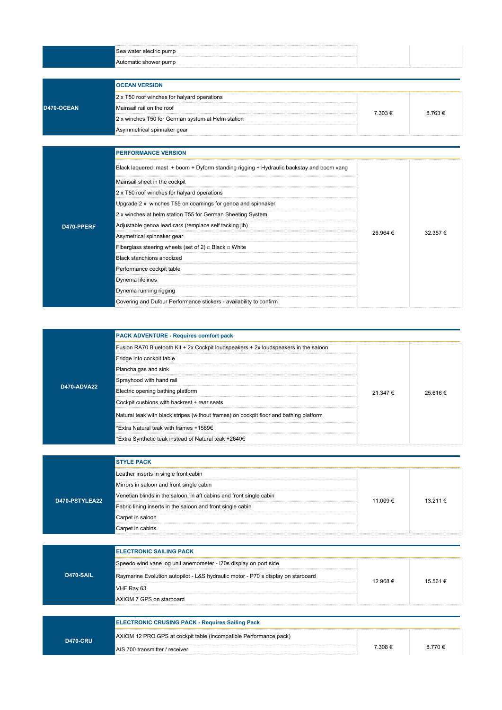| Sea water electric pump<br> |  |
|-----------------------------|--|
| Automatic shower pump       |  |
|                             |  |

|            | <b>IOCEAN VERSION</b>                             |         |        |  |
|------------|---------------------------------------------------|---------|--------|--|
|            | 2 x T50 roof winches for halyard operations       |         |        |  |
| D470-OCEAN | Mainsail rail on the roof                         | 7 303 € | 8.763€ |  |
|            | 2 x winches T50 for German system at Helm station |         |        |  |
|            | Asymmetrical spinnaker gear                       |         |        |  |

|            | <b>PERFORMANCE VERSION</b>                                                              |          |         |
|------------|-----------------------------------------------------------------------------------------|----------|---------|
|            | Black laquered mast + boom + Dyform standing rigging + Hydraulic backstay and boom vang |          |         |
|            | Mainsail sheet in the cockpit                                                           |          |         |
|            | 2 x T50 roof winches for halyard operations                                             |          |         |
|            | Upgrade 2 x winches T55 on coamings for genoa and spinnaker                             |          |         |
|            | 2 x winches at helm station T55 for German Sheeting System                              |          |         |
| D470-PPERF | Adjustable genoa lead cars (remplace self tacking jib)                                  | 26.964 € | 32.357€ |
|            | Asymetrical spinnaker gear                                                              |          |         |
|            | Fiberglass steering wheels (set of 2) $\Box$ Black $\Box$ White                         |          |         |
|            | Black stanchions anodized                                                               |          |         |
|            | Performance cockpit table                                                               |          |         |
|            | Dynema lifelines                                                                        |          |         |
|            | Dynema running rigging                                                                  |          |         |
|            | Covering and Dufour Performance stickers - availability to confirm                      |          |         |

|                    | <b>PACK ADVENTURE - Requires comfort pack</b>                                          |          |          |
|--------------------|----------------------------------------------------------------------------------------|----------|----------|
|                    | Fusion RA70 Bluetooth Kit + 2x Cockpit loudspeakers + 2x loudspeakers in the saloon    |          |          |
|                    | Fridge into cockpit table                                                              | 21.347 € |          |
|                    | Plancha gas and sink                                                                   |          |          |
|                    | Sprayhood with hand rail                                                               |          |          |
| <b>D470-ADVA22</b> | Electric opening bathing platform                                                      |          | 25.616 € |
|                    | Cockpit cushions with backrest + rear seats                                            |          |          |
|                    | Natural teak with black stripes (without frames) on cockpit floor and bathing platform |          |          |
|                    | *Extra Natural teak with frames +1569€                                                 |          |          |
|                    | *Extra Synthetic teak instead of Natural teak +2640€                                   |          |          |

|                | <b>STYLE PACK</b>                                                   |          |              |
|----------------|---------------------------------------------------------------------|----------|--------------|
|                | Leather inserts in single front cabin                               |          |              |
|                | Mirrors in saloon and front single cabin                            |          |              |
| D470-PSTYLEA22 | Venetian blinds in the saloon, in aft cabins and front single cabin | 11 009 € | $13.211 \in$ |
|                | Fabric lining inserts in the saloon and front single cabin          |          |              |
|                | Carpet in saloon                                                    |          |              |
|                | Carpet in cabins                                                    |          |              |

| <b>D470-SAIL</b> | <b>IELECTRONIC SAILING PACK</b>                                                  |         |          |  |  |
|------------------|----------------------------------------------------------------------------------|---------|----------|--|--|
|                  | Speedo wind vane log unit anemometer - I70s display on port side                 |         |          |  |  |
|                  | Raymarine Evolution autopilot - L&S hydraulic motor - P70 s display on starboard | 12.968€ | 15.561 € |  |  |
|                  | VHF Ray 63                                                                       |         |          |  |  |
|                  | AXIOM 7 GPS on starboard                                                         |         |          |  |  |
|                  |                                                                                  |         |          |  |  |
|                  | <b>ELECTRONIC CRUSING PACK - Requires Sailing Pack</b>                           |         |          |  |  |
|                  |                                                                                  |         |          |  |  |

| <b>2470-CRU</b> | AXIOM 12 PRO GPS at cockpit table (incompatible Performance pack) |         |       |
|-----------------|-------------------------------------------------------------------|---------|-------|
|                 | AIS 700 transmitter / receiver                                    | 7.308 € | 770 € |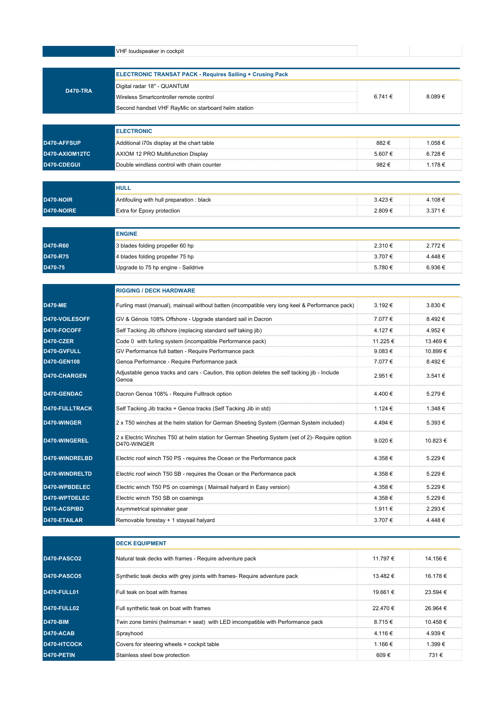|                                                                                                                                                                                                                                      | VHF loudspeaker in cockpit                                                                                                                     |                    |                                                             |
|--------------------------------------------------------------------------------------------------------------------------------------------------------------------------------------------------------------------------------------|------------------------------------------------------------------------------------------------------------------------------------------------|--------------------|-------------------------------------------------------------|
|                                                                                                                                                                                                                                      | <b>ELECTRONIC TRANSAT PACK - Requires Sailing + Crusing Pack</b>                                                                               |                    |                                                             |
|                                                                                                                                                                                                                                      | Digital radar 18" - QUANTUM                                                                                                                    |                    |                                                             |
| <b>D470-TRA</b>                                                                                                                                                                                                                      | Wireless Smartcontroller remote control                                                                                                        | 6.741 €            | 8.089€                                                      |
|                                                                                                                                                                                                                                      | Second handset VHF RayMic on starboard helm station                                                                                            |                    |                                                             |
|                                                                                                                                                                                                                                      |                                                                                                                                                |                    |                                                             |
|                                                                                                                                                                                                                                      | <b>ELECTRONIC</b>                                                                                                                              |                    |                                                             |
| D470-AFFSUP                                                                                                                                                                                                                          | Additional i70s display at the chart table                                                                                                     | 882€               | 1.058€                                                      |
| D470-AXIOM12TC                                                                                                                                                                                                                       | AXIOM 12 PRO Multifunction Display                                                                                                             | 5.607€             | 6.728 €                                                     |
| D470-CDEGUI                                                                                                                                                                                                                          | Double windlass control with chain counter                                                                                                     | 982 €              | 1.178 €                                                     |
|                                                                                                                                                                                                                                      | <b>HULL</b>                                                                                                                                    |                    |                                                             |
| D470-NOIR                                                                                                                                                                                                                            | Antifouling with hull preparation : black                                                                                                      | 3.423€             | 4.108€                                                      |
| D470-NOIRE                                                                                                                                                                                                                           | Extra for Epoxy protection                                                                                                                     | 2.809€             | 3.371 €                                                     |
|                                                                                                                                                                                                                                      | <b>ENGINE</b>                                                                                                                                  |                    |                                                             |
| D470-R60                                                                                                                                                                                                                             | 3 blades folding propeller 60 hp                                                                                                               | 2.310 €            | 2.772€                                                      |
| D470-R75                                                                                                                                                                                                                             | 4 blades folding propeller 75 hp                                                                                                               | 3.707 €            | 4.448€                                                      |
| D470-75                                                                                                                                                                                                                              | Upgrade to 75 hp engine - Saildrive                                                                                                            | 5.780 €            | 6.936 €                                                     |
|                                                                                                                                                                                                                                      | <b>RIGGING / DECK HARDWARE</b>                                                                                                                 |                    |                                                             |
| <b>D470-ME</b>                                                                                                                                                                                                                       | Furling mast (manual), mainsail without batten (incompatible very long keel & Performance pack)                                                | 3.192€             | $3.830 \in$                                                 |
| D470-VOILESOFF                                                                                                                                                                                                                       |                                                                                                                                                | 7.077 €            |                                                             |
|                                                                                                                                                                                                                                      | GV & Génois 108% Offshore - Upgrade standard sail in Dacron                                                                                    |                    | 8.492€                                                      |
|                                                                                                                                                                                                                                      |                                                                                                                                                |                    |                                                             |
|                                                                                                                                                                                                                                      | Self Tacking Jib offshore (replacing standard self taking jib)                                                                                 | 4.127 €            |                                                             |
|                                                                                                                                                                                                                                      | Code 0 with furling system (incompatible Performance pack)                                                                                     | 11.225 €           |                                                             |
|                                                                                                                                                                                                                                      | GV Performance full batten - Require Performance pack                                                                                          | 9.083 $\epsilon$   | 4.952 €<br>13.469 €<br>10.899 €                             |
|                                                                                                                                                                                                                                      | Genoa Performance - Require Performance pack<br>Adjustable genoa tracks and cars - Caution, this option deletes the self tacking jib - Include | 7.077 €<br>2.951 € |                                                             |
|                                                                                                                                                                                                                                      | Genoa<br>Dacron Genoa 108% - Require Fulltrack option                                                                                          | 4.400 €            |                                                             |
|                                                                                                                                                                                                                                      | Self Tacking Jib tracks + Genoa tracks (Self Tacking Jib in std)                                                                               | 1.124 €            | 8.492 €<br>3.541 €<br>5.279€<br>1.348 €                     |
|                                                                                                                                                                                                                                      | 2 x T50 winches at the helm station for German Sheeting System (German System included)                                                        | 4.494€             | 5.393€                                                      |
|                                                                                                                                                                                                                                      | 2 x Electric Winches T50 at helm station for German Sheeting System (set of 2)- Require option<br>D470-WINGER                                  | 9.020€             |                                                             |
|                                                                                                                                                                                                                                      | Electric roof winch T50 PS - requires the Ocean or the Performance pack                                                                        | 4.358 €            |                                                             |
|                                                                                                                                                                                                                                      | Electric roof winch T50 SB - requires the Ocean or the Performance pack                                                                        | 4.358 €            |                                                             |
|                                                                                                                                                                                                                                      | Electric winch T50 PS on coamings (Mainsail halyard in Easy version)                                                                           | 4.358€             |                                                             |
|                                                                                                                                                                                                                                      | Electric winch T50 SB on coamings                                                                                                              | 4.358 €            |                                                             |
| D470-FOCOFF<br>D470-CZER<br>D470-GVFULL<br>D470-GEN108<br><b>D470-CHARGEN</b><br>D470-GENDAC<br>D470-FULLTRACK<br>D470-WINGER<br>D470-WINGEREL<br>D470-WINDRELBD<br>D470-WINDRELTD<br>D470-WPBDELEC<br>D470-WPTDELEC<br>D470-ACSPIBD | Asymmetrical spinnaker gear                                                                                                                    | 1.911 €            | 10.823 €<br>5.229€<br>5.229€<br>5.229€<br>5.229€<br>2.293 € |

|                    | <b>DECK EQUIPMENT</b>                                                          |                  |              |  |
|--------------------|--------------------------------------------------------------------------------|------------------|--------------|--|
| <b>D470-PASCO2</b> | Natural teak decks with frames - Require adventure pack                        | 11.797 €         | 14.156 €     |  |
| D470-PASCO5        | Synthetic teak decks with grey joints with frames- Require adventure pack      | 13.482 €         | 16.178 €     |  |
| D470-FULL01        | Full teak on boat with frames                                                  | 19.661 €         | $23.594 \in$ |  |
| <b>D470-FULL02</b> | Full synthetic teak on boat with frames                                        | 22.470€          | 26.964 €     |  |
| <b>D470-BIM</b>    | Twin zone bimini (helmsman + seat) with LED imcompatible with Performance pack | 8.715€           | 10.458 €     |  |
| D470-ACAB          | Sprayhood                                                                      | 4.116€           | 4 939 €      |  |
| D470-HTCOCK        | Covers for steering wheels + cockpit table                                     | 1 1 6 $\epsilon$ | 1 399 €      |  |
| D470-PETIN         | Stainless steel bow protection                                                 | 609€             | 731 €        |  |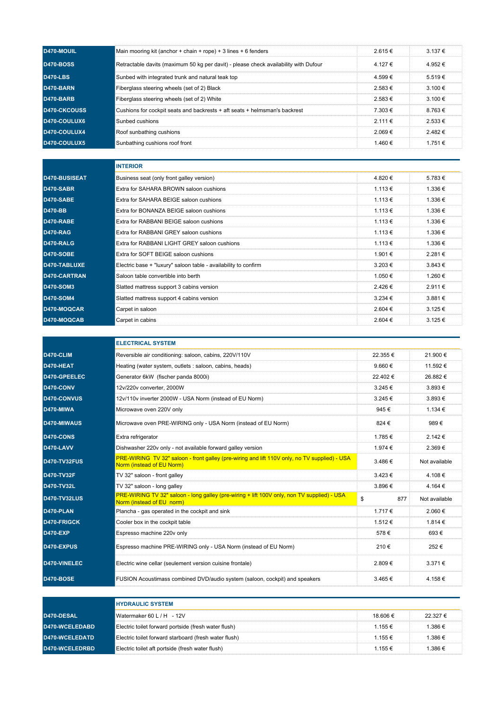| D470-MOUIL       | Main mooring kit (anchor + chain + rope) + 3 lines + 6 fenders                       | 2.615€      | $3.137 \in$ |
|------------------|--------------------------------------------------------------------------------------|-------------|-------------|
| <b>D470-BOSS</b> | Retractable davits (maximum 50 kg per davit) - please check availability with Dufour | 4.127 €     | 4.952€      |
| <b>D470-LBS</b>  | Sunbed with integrated trunk and natural teak top                                    | 4.599€      | 5.519 €     |
| D470-BARN        | Fiberglass steering wheels (set of 2) Black                                          | 2.583 €     | 3.100 €     |
| <b>D470-BARB</b> | Fiberglass steering wheels (set of 2) White                                          | 2.583 $\in$ | $3.100 \in$ |
| D470-CKCOUSS     | Cushions for cockpit seats and backrests + aft seats + helmsman's backrest           | 7.303 €     | 8763€       |
| D470-COULUX6     | Sunbed cushions                                                                      | $2111 \in$  | $2.533 \in$ |
| D470-COULUX4     | Roof sunbathing cushions                                                             | 2.069 €     | 2482 $\in$  |
| D470-COULUX5     | Sunbathing cushions roof front                                                       | 1460 $\in$  | $1751 \in$  |

|                  | <b>INTERIOR</b>                                                 |                  |         |
|------------------|-----------------------------------------------------------------|------------------|---------|
| D470-BUSISEAT    | Business seat (only front galley version)                       | 4.820€           | 5.783€  |
| D470-SABR        | Extra for SAHARA BROWN saloon cushions                          | $1.113 \in$      | 1.336 € |
| <b>D470-SABE</b> | Extra for SAHARA BEIGE saloon cushions                          | $1.113 \in$      | 1.336 € |
| <b>D470-BB</b>   | Extra for BONANZA BEIGE saloon cushions                         | $1.113 \in$      | 1.336 € |
| D470-RABE        | Extra for RABBANI BEIGE saloon cushions                         | 1.113 €          | 1.336 € |
| <b>D470-RAG</b>  | Extra for RABBANI GREY saloon cushions                          | $1.113 \in$      | 1.336 € |
| D470-RALG        | Extra for RABBANI LIGHT GREY saloon cushions                    | 1.113 €          | 1.336 € |
| <b>D470-SOBE</b> | Extra for SOFT BEIGE saloon cushions                            | 1 901 €          | 2.281€  |
| D470-TABLUXE     | Electric base + "luxury" saloon table - availability to confirm | $3.203 \in$      | 3.843 € |
| D470-CARTRAN     | Saloon table convertible into berth                             | 1 050 €          | 1.260 € |
| <b>D470-SOM3</b> | Slatted mattress support 3 cabins version                       | $2426 \in$       | 2.911 € |
| <b>D470-SOM4</b> | Slatted mattress support 4 cabins version                       | 3 234 $\epsilon$ | 3.881 € |
| D470-MOQCAR      | Carpet in saloon                                                | 2.604 $\in$      | 3.125 € |
| D470-MOQCAB      | Carpet in cabins                                                | 2.604 €          | 3.125 € |

|                     | <b>ELECTRICAL SYSTEM</b>                                                                                                   |             |               |  |  |
|---------------------|----------------------------------------------------------------------------------------------------------------------------|-------------|---------------|--|--|
| D470-CLIM           | Reversible air conditioning: saloon, cabins, 220V/110V                                                                     | 22.355 €    | 21.900 €      |  |  |
| D470-HEAT           | Heating (water system, outlets : saloon, cabins, heads)                                                                    | 9.660 $\in$ | 11.592 €      |  |  |
| D470-GPEELEC        | Generator 6kW (fischer panda 8000i)                                                                                        | 22.402€     | 26.882 €      |  |  |
| D470-CONV           | 12v/220v converter, 2000W                                                                                                  | $3.245 \in$ | $3.893 \in$   |  |  |
| D470-CONVUS         | 12v/110v inverter 2000W - USA Norm (instead of EU Norm)                                                                    | 3.245 €     | $3.893 \in$   |  |  |
| D470-MIWA           | Microwave oven 220V only                                                                                                   | 945€        | 1.134 €       |  |  |
| D470-MIWAUS         | Microwave oven PRE-WIRING only - USA Norm (instead of EU Norm)                                                             | 824 €       | 989€          |  |  |
| D470-CONS           | Extra refrigerator                                                                                                         | 1.785 €     | 2.142 €       |  |  |
| D470-LAVV           | Dishwasher 220v only - not available forward galley version                                                                | 1.974 €     | 2.369€        |  |  |
| <b>D470-TV32FUS</b> | PRE-WIRING TV 32" saloon - front galley (pre-wiring and lift 110V only, no TV supplied) - USA<br>Norm (instead of EU Norm) | 3.486€      | Not available |  |  |
| D470-TV32F          | TV 32" saloon - front galley                                                                                               | $3.423 \in$ | 4.108€        |  |  |
| D470-TV32L          | TV 32" saloon - long galley                                                                                                | 3.896€      | 4.164 €       |  |  |
| <b>D470-TV32LUS</b> | PRE-WIRING TV 32" saloon - long galley (pre-wiring + lift 100V only, non TV supplied) - USA<br>Norm (instead of EU norm)   | \$<br>877   | Not available |  |  |
| D470-PLAN           | Plancha - gas operated in the cockpit and sink                                                                             | 1.717 €     | $2.060 \in$   |  |  |
| D470-FRIGCK         | Cooler box in the cockpit table                                                                                            | 1.512 €     | 1.814 €       |  |  |
| <b>D470-EXP</b>     | Espresso machine 220v only                                                                                                 | 578€        | 693€          |  |  |
| D470-EXPUS          | Espresso machine PRE-WIRING only - USA Norm (instead of EU Norm)                                                           | 210€        | 252€          |  |  |
| D470-VINELEC        | Electric wine cellar (seulement version cuisine frontale)                                                                  | 2.809€      | $3.371 \in$   |  |  |
| <b>D470-BOSE</b>    | FUSION Acoustimass combined DVD/audio system (saloon, cockpit) and speakers                                                | 3.465 €     | 4.158€        |  |  |

|                | <b>HYDRAULIC SYSTEM</b>                               |          |          |  |
|----------------|-------------------------------------------------------|----------|----------|--|
| D470-DESAL     | Watermaker 60 L / H - 12V                             | 18 606 € | 22.327 € |  |
| D470-WCELEDABD | Electric toilet forward portside (fresh water flush)  | 1 155 €  | 1.386 €  |  |
| D470-WCELEDATD | Electric toilet forward starboard (fresh water flush) | 1 155 €  | 1.386 €  |  |
| D470-WCELEDRBD | Electric toilet aft portside (fresh water flush)      | 1 155 €  | 1.386 €  |  |